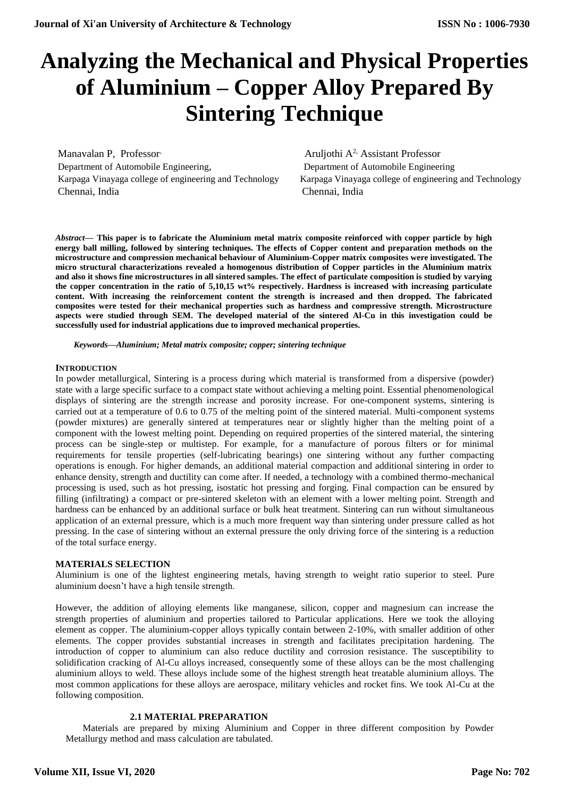# **Analyzing the Mechanical and Physical Properties of Aluminium – Copper Alloy Prepared By Sintering Technique**

Manavalan P, Professor, Department of Automobile Engineering, Karpaga Vinayaga college of engineering and Technology Karpaga Vinayaga college of engineering and Technology Chennai, India Chennai, India

 Aruljothi A2, Assistant Professor Department of Automobile Engineering

*Abstract***— This paper is to fabricate the Aluminium metal matrix composite reinforced with copper particle by high energy ball milling, followed by sintering techniques. The effects of Copper content and preparation methods on the microstructure and compression mechanical behaviour of Aluminium-Copper matrix composites were investigated. The micro structural characterizations revealed a homogenous distribution of Copper particles in the Aluminium matrix and also it shows fine microstructures in all sintered samples. The effect of particulate composition is studied by varying the copper concentration in the ratio of 5,10,15 wt% respectively. Hardness is increased with increasing particulate content. With increasing the reinforcement content the strength is increased and then dropped. The fabricated composites were tested for their mechanical properties such as hardness and compressive strength. Microstructure aspects were studied through SEM. The developed material of the sintered Al-Cu in this investigation could be successfully used for industrial applications due to improved mechanical properties.**

*Keywords—Aluminium; Metal matrix composite; copper; sintering technique*

## **INTRODUCTION**

In powder metallurgical, Sintering is a process during which material is transformed from a dispersive (powder) state with a large specific surface to a compact state without achieving a melting point. Essential phenomenological displays of sintering are the strength increase and porosity increase. For one-component systems, sintering is carried out at a temperature of 0.6 to 0.75 of the melting point of the sintered material. Multi-component systems (powder mixtures) are generally sintered at temperatures near or slightly higher than the melting point of a component with the lowest melting point. Depending on required properties of the sintered material, the sintering process can be single-step or multistep. For example, for a manufacture of porous filters or for minimal requirements for tensile properties (self-lubricating bearings) one sintering without any further compacting operations is enough. For higher demands, an additional material compaction and additional sintering in order to enhance density, strength and ductility can come after. If needed, a technology with a combined thermo-mechanical processing is used, such as hot pressing, isostatic hot pressing and forging. Final compaction can be ensured by filling (infiltrating) a compact or pre-sintered skeleton with an element with a lower melting point. Strength and hardness can be enhanced by an additional surface or bulk heat treatment. Sintering can run without simultaneous application of an external pressure, which is a much more frequent way than sintering under pressure called as hot pressing. In the case of sintering without an external pressure the only driving force of the sintering is a reduction of the total surface energy.

# **MATERIALS SELECTION**

Aluminium is one of the lightest engineering metals, having strength to weight ratio superior to steel. Pure aluminium doesn't have a high tensile strength.

However, the addition of alloying elements like manganese, silicon, copper and magnesium can increase the strength properties of aluminium and properties tailored to Particular applications. Here we took the alloying element as copper. The aluminium-copper alloys typically contain between 2-10%, with smaller addition of other elements. The copper provides substantial increases in strength and facilitates precipitation hardening. The introduction of copper to aluminium can also reduce ductility and corrosion resistance. The susceptibility to solidification cracking of Al-Cu alloys increased, consequently some of these alloys can be the most challenging aluminium alloys to weld. These alloys include some of the highest strength heat treatable aluminium alloys. The most common applications for these alloys are aerospace, military vehicles and rocket fins. We took Al-Cu at the following composition.

## **2.1 MATERIAL PREPARATION**

Materials are prepared by mixing Aluminium and Copper in three different composition by Powder Metallurgy method and mass calculation are tabulated.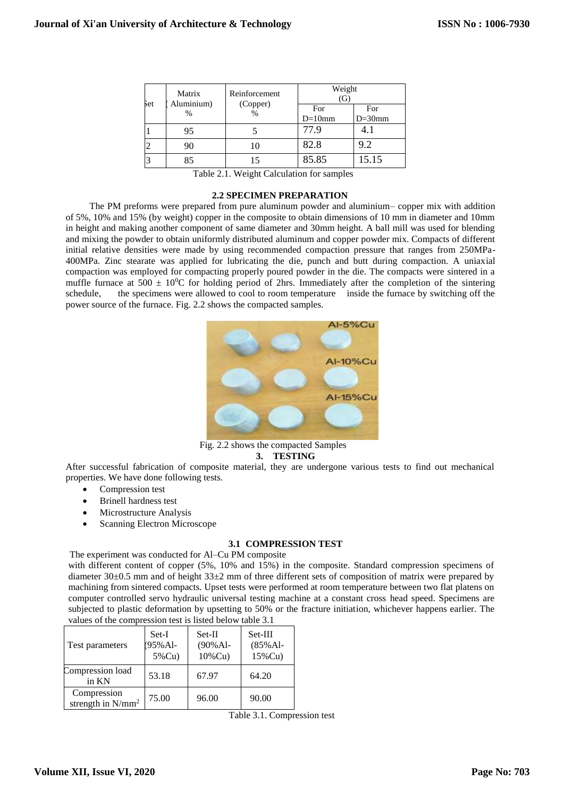| Set | Matrix<br>Aluminium)<br>$\%$ | Reinforcement<br>(Copper)<br>$\%$ | Weight<br>(G)    |                  |
|-----|------------------------------|-----------------------------------|------------------|------------------|
|     |                              |                                   | For<br>$D=10$ mm | For<br>$D=30$ mm |
|     | 95                           |                                   | 77.9             |                  |
|     |                              |                                   | 82.8             | 9.2              |
|     | 85                           |                                   | 85.85            | 15.15            |

Table 2.1. Weight Calculation for samples

#### **2.2 SPECIMEN PREPARATION**

The PM preforms were prepared from pure aluminum powder and aluminium– copper mix with addition of 5%, 10% and 15% (by weight) copper in the composite to obtain dimensions of 10 mm in diameter and 10mm in height and making another component of same diameter and 30mm height. A ball mill was used for blending and mixing the powder to obtain uniformly distributed aluminum and copper powder mix. Compacts of different initial relative densities were made by using recommended compaction pressure that ranges from 250MPa-400MPa. Zinc stearate was applied for lubricating the die, punch and butt during compaction. A uniaxial compaction was employed for compacting properly poured powder in the die. The compacts were sintered in a muffle furnace at 500  $\pm$  10<sup>0</sup>C for holding period of 2hrs. Immediately after the completion of the sintering schedule, the specimens were allowed to cool to room temperature inside the furnace by switching off the power source of the furnace. Fig. 2.2 shows the compacted samples.



Fig. 2.2 shows the compacted Samples **3. TESTING**

After successful fabrication of composite material, they are undergone various tests to find out mechanical properties. We have done following tests.

- Compression test
- Brinell hardness test
- Microstructure Analysis
- Scanning Electron Microscope

## **3.1 COMPRESSION TEST**

The experiment was conducted for Al–Cu PM composite

with different content of copper (5%, 10% and 15%) in the composite. Standard compression specimens of diameter 30±0.5 mm and of height 33±2 mm of three different sets of composition of matrix were prepared by machining from sintered compacts. Upset tests were performed at room temperature between two flat platens on computer controlled servo hydraulic universal testing machine at a constant cross head speed. Specimens are subjected to plastic deformation by upsetting to 50% or the fracture initiation, whichever happens earlier. The values of the compression test is listed below table 3.1

| Test parameters                     | Set-I<br>95% Al-<br>5%Cu) | Set-II<br>$(90\%$ Al-<br>10%Cu) | Set-III<br>$(85% Al-$<br>15%Cu) |
|-------------------------------------|---------------------------|---------------------------------|---------------------------------|
| Compression load<br>in KN           | 53.18                     | 67.97                           | 64.20                           |
| Compression<br>strength in $N/mm^2$ | 75.00                     | 96.00                           | 90.00                           |

Table 3.1. Compression test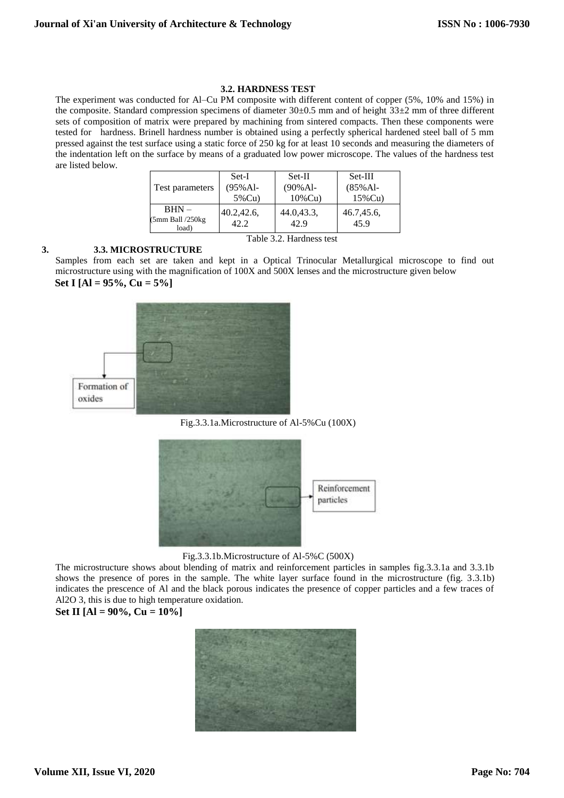# **3.2. HARDNESS TEST**

The experiment was conducted for Al–Cu PM composite with different content of copper (5%, 10% and 15%) in the composite. Standard compression specimens of diameter 30±0.5 mm and of height 33±2 mm of three different sets of composition of matrix were prepared by machining from sintered compacts. Then these components were tested for hardness. Brinell hardness number is obtained using a perfectly spherical hardened steel ball of 5 mm pressed against the test surface using a static force of 250 kg for at least 10 seconds and measuring the diameters of the indentation left on the surface by means of a graduated low power microscope. The values of the hardness test are listed below.

| Test parameters                           | Set-I              | Set-II             | $Set-III$          |
|-------------------------------------------|--------------------|--------------------|--------------------|
|                                           | (95%Al-            | $(90%$ Al-         | $(85%Al -$         |
|                                           | 5%Cu)              | $10\%$ Cu          | 15%Cu)             |
| $BHN -$<br>$(5mm$ Ball $/250k$ g<br>load) | 40.2,42.6,<br>42.2 | 44.0.43.3.<br>42.9 | 46.7,45.6,<br>45.9 |

## **3. 3.3. MICROSTRUCTURE**

# Table 3.2. Hardness test

Samples from each set are taken and kept in a Optical Trinocular Metallurgical microscope to find out microstructure using with the magnification of 100X and 500X lenses and the microstructure given below  **Set I [Al = 95%, Cu = 5%]**



Fig.3.3.1a.Microstructure of Al-5%Cu (100X)



Fig.3.3.1b.Microstructure of Al-5%C (500X)

The microstructure shows about blending of matrix and reinforcement particles in samples fig.3.3.1a and 3.3.1b shows the presence of pores in the sample. The white layer surface found in the microstructure (fig. 3.3.1b) indicates the prescence of Al and the black porous indicates the presence of copper particles and a few traces of Al2O 3, this is due to high temperature oxidation. **Set II**  $[A] = 90\%$ 

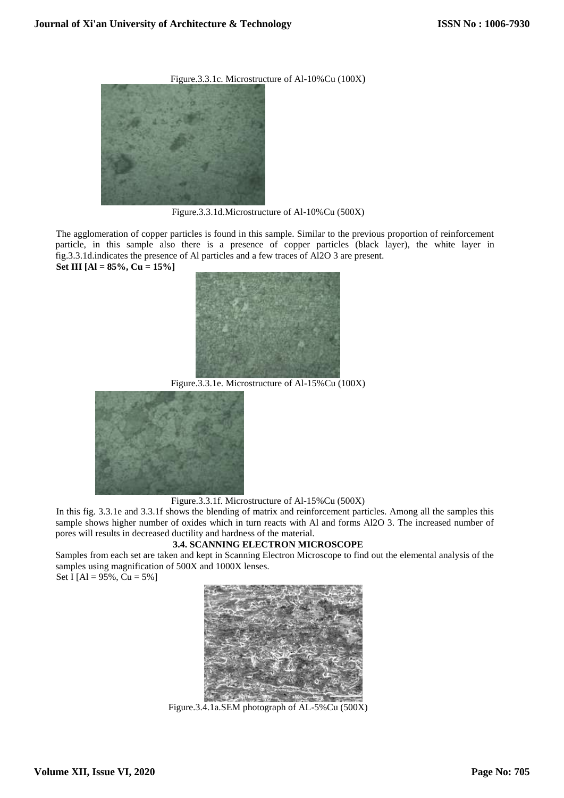Figure.3.3.1c. Microstructure of Al-10%Cu (100X)



Figure.3.3.1d.Microstructure of Al-10%Cu (500X)

 The agglomeration of copper particles is found in this sample. Similar to the previous proportion of reinforcement particle, in this sample also there is a presence of copper particles (black layer), the white layer in fig.3.3.1d.indicates the presence of Al particles and a few traces of Al2O 3 are present. **Set III [Al = 85%, Cu = 15%]**



Figure.3.3.1e. Microstructure of Al-15%Cu (100X)



Figure.3.3.1f. Microstructure of Al-15%Cu (500X)

 In this fig. 3.3.1e and 3.3.1f shows the blending of matrix and reinforcement particles. Among all the samples this sample shows higher number of oxides which in turn reacts with Al and forms Al2O 3. The increased number of pores will results in decreased ductility and hardness of the material.

# **3.4. SCANNING ELECTRON MICROSCOPE**

Samples from each set are taken and kept in Scanning Electron Microscope to find out the elemental analysis of the samples using magnification of 500X and 1000X lenses.

Set I [Al =  $95\%$ , Cu =  $5\%$ ]



Figure.3.4.1a.SEM photograph of AL-5%Cu (500X)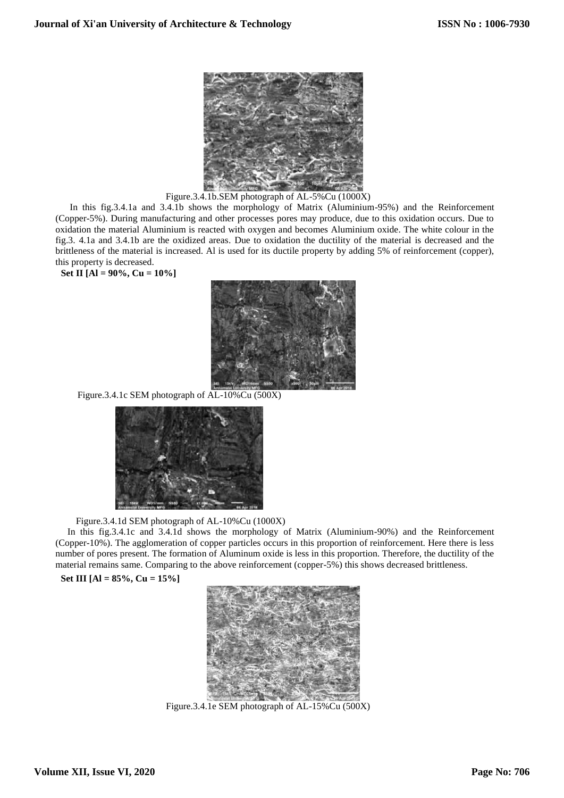

Figure.3.4.1b.SEM photograph of AL-5%Cu (1000X)

 In this fig.3.4.1a and 3.4.1b shows the morphology of Matrix (Aluminium-95%) and the Reinforcement (Copper-5%). During manufacturing and other processes pores may produce, due to this oxidation occurs. Due to oxidation the material Aluminium is reacted with oxygen and becomes Aluminium oxide. The white colour in the fig.3. 4.1a and 3.4.1b are the oxidized areas. Due to oxidation the ductility of the material is decreased and the brittleness of the material is increased. Al is used for its ductile property by adding 5% of reinforcement (copper), this property is decreased.

 **Set II [Al = 90%, Cu = 10%]**



Figure.3.4.1c SEM photograph of AL-10%Cu (500X)



Figure.3.4.1d SEM photograph of AL-10%Cu (1000X)

 In this fig.3.4.1c and 3.4.1d shows the morphology of Matrix (Aluminium-90%) and the Reinforcement (Copper-10%). The agglomeration of copper particles occurs in this proportion of reinforcement. Here there is less number of pores present. The formation of Aluminum oxide is less in this proportion. Therefore, the ductility of the material remains same. Comparing to the above reinforcement (copper-5%) this shows decreased brittleness.

**Set III [Al = 85%, Cu = 15%]**



Figure.3.4.1e SEM photograph of AL-15%Cu (500X)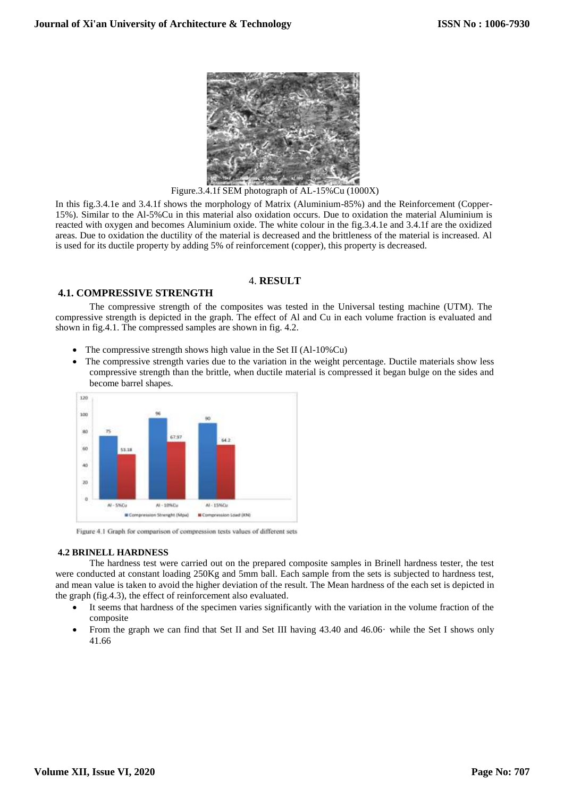

Figure.3.4.1f SEM photograph of AL-15%Cu (1000X)

In this fig.3.4.1e and 3.4.1f shows the morphology of Matrix (Aluminium-85%) and the Reinforcement (Copper-15%). Similar to the Al-5%Cu in this material also oxidation occurs. Due to oxidation the material Aluminium is reacted with oxygen and becomes Aluminium oxide. The white colour in the fig.3.4.1e and 3.4.1f are the oxidized areas. Due to oxidation the ductility of the material is decreased and the brittleness of the material is increased. Al is used for its ductile property by adding 5% of reinforcement (copper), this property is decreased.

# 4. **RESULT**

# **4.1. COMPRESSIVE STRENGTH**

The compressive strength of the composites was tested in the Universal testing machine (UTM). The compressive strength is depicted in the graph. The effect of Al and Cu in each volume fraction is evaluated and shown in fig.4.1. The compressed samples are shown in fig. 4.2.

- The compressive strength shows high value in the Set II (Al-10%Cu)
- The compressive strength varies due to the variation in the weight percentage. Ductile materials show less compressive strength than the brittle, when ductile material is compressed it began bulge on the sides and become barrel shapes.



Figure 4.1 Graph for comparison of compression tests values of different sets

# **4.2 BRINELL HARDNESS**

The hardness test were carried out on the prepared composite samples in Brinell hardness tester, the test were conducted at constant loading 250Kg and 5mm ball. Each sample from the sets is subjected to hardness test, and mean value is taken to avoid the higher deviation of the result. The Mean hardness of the each set is depicted in the graph (fig.4.3), the effect of reinforcement also evaluated.

- It seems that hardness of the specimen varies significantly with the variation in the volume fraction of the composite
- From the graph we can find that Set II and Set III having 43.40 and 46.06· while the Set I shows only 41.66